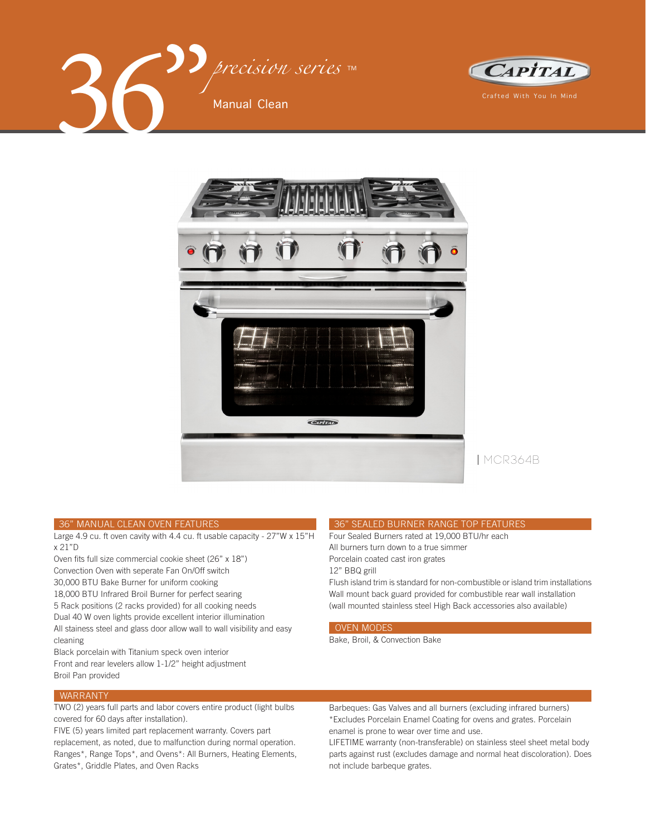





MCR364B

### 36" MANUAL CLEAN OVEN FEATURES

Large 4.9 cu. ft oven cavity with 4.4 cu. ft usable capacity - 27"W x 15"H x 21"D

Oven fits full size commercial cookie sheet (26" x 18") Convection Oven with seperate Fan On/Off switch 30,000 BTU Bake Burner for uniform cooking 18,000 BTU Infrared Broil Burner for perfect searing 5 Rack positions (2 racks provided) for all cooking needs Dual 40 W oven lights provide excellent interior illumination All stainess steel and glass door allow wall to wall visibility and easy

cleaning Black porcelain with Titanium speck oven interior Front and rear levelers allow 1-1/2" height adjustment Broil Pan provided

# 36" SEALED BURNER RANGE TOP FEATURES

Four Sealed Burners rated at 19,000 BTU/hr each All burners turn down to a true simmer

Porcelain coated cast iron grates

12" BBQ grill

Flush island trim is standard for non-combustible or island trim installations Wall mount back guard provided for combustible rear wall installation (wall mounted stainless steel High Back accessories also available)

## **OVEN MODES**

Bake, Broil, & Convection Bake

#### WARRANTY

TWO (2) years full parts and labor covers entire product (light bulbs covered for 60 days after installation).

FIVE (5) years limited part replacement warranty. Covers part replacement, as noted, due to malfunction during normal operation. Ranges\*, Range Tops\*, and Ovens\*: All Burners, Heating Elements, Grates\*, Griddle Plates, and Oven Racks

Barbeques: Gas Valves and all burners (excluding infrared burners) \*Excludes Porcelain Enamel Coating for ovens and grates. Porcelain enamel is prone to wear over time and use.

LIFETIME warranty (non-transferable) on stainless steel sheet metal body parts against rust (excludes damage and normal heat discoloration). Does not include barbeque grates.